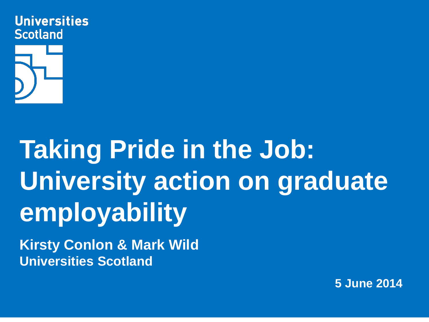



# **Taking Pride in the Job: University action on graduate employability**

**Kirsty Conlon & Mark Wild Universities Scotland**

**5 June 2014**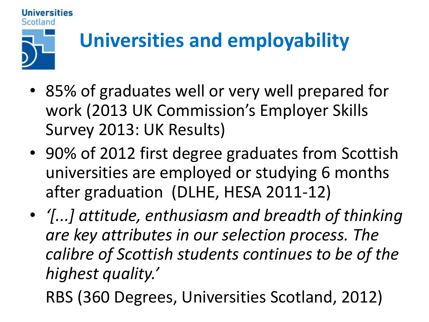

# **Universities and employability**

- 85% of graduates well or very well prepared for work (2013 UK Commission's Employer Skills Survey 2013: UK Results)
- 90% of 2012 first degree graduates from Scottish universities are employed or studying 6 months after graduation (DLHE, HESA 2011-12)
- *'[...] attitude, enthusiasm and breadth of thinking are key attributes in our selection process. The calibre of Scottish students continues to be of the highest quality.'*
	- RBS (360 Degrees, Universities Scotland, 2012)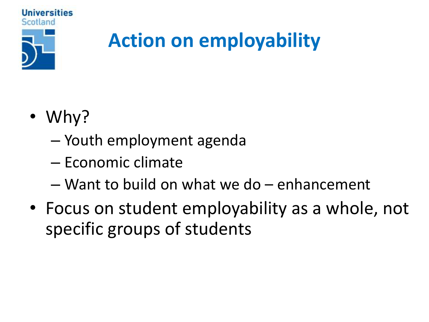

### **Action on employability**

- Why?
	- Youth employment agenda
	- Economic climate
	- Want to build on what we do enhancement
- Focus on student employability as a whole, not specific groups of students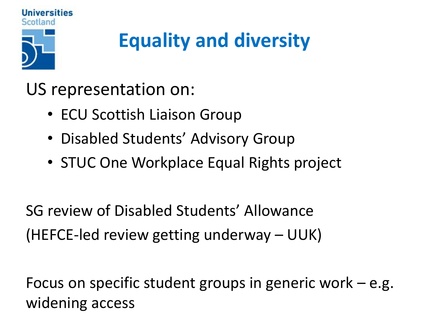

## **Equality and diversity**

US representation on:

- ECU Scottish Liaison Group
- Disabled Students' Advisory Group
- STUC One Workplace Equal Rights project

SG review of Disabled Students' Allowance (HEFCE-led review getting underway – UUK)

Focus on specific student groups in generic work – e.g. widening access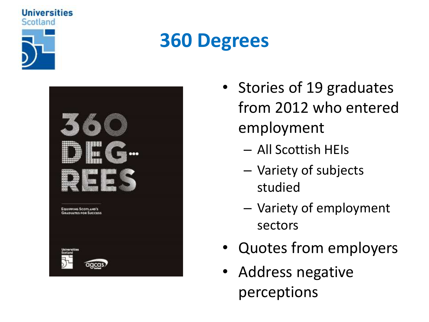

**Universities** 

#### **360 Degrees**

| 書著<br>                                                      |  |
|-------------------------------------------------------------|--|
|                                                             |  |
| <b>EQUIPPING SCOTLAND'S</b><br><b>GRADUATES FOR SUCCESS</b> |  |
| Universities<br>Scotiand                                    |  |
| agcas)                                                      |  |

- Stories of 19 graduates from 2012 who entered employment
	- All Scottish HEIs
	- Variety of subjects studied
	- Variety of employment sectors
- Quotes from employers
- Address negative perceptions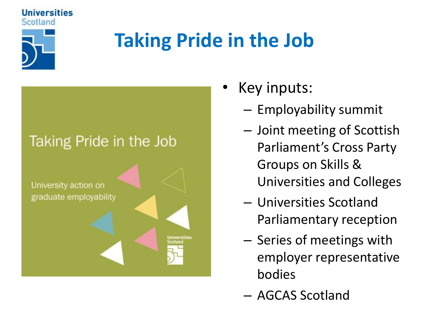

Universities

### **Taking Pride in the Job**



- Key inputs:
	- Employability summit
	- Joint meeting of Scottish Parliament's Cross Party Groups on Skills & Universities and Colleges
	- Universities Scotland Parliamentary reception
	- Series of meetings with employer representative bodies
	- AGCAS Scotland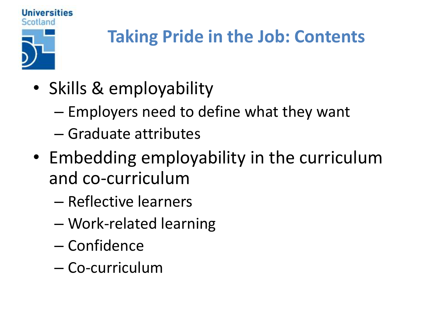

- Skills & employability
	- Employers need to define what they want
	- Graduate attributes
- Embedding employability in the curriculum and co-curriculum
	- Reflective learners
	- Work-related learning
	- Confidence
	- Co-curriculum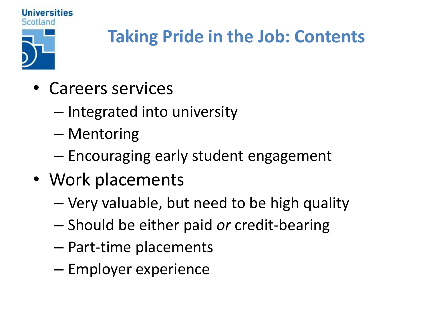

- Careers services
	- Integrated into university
	- Mentoring
	- Encouraging early student engagement
- Work placements
	- Very valuable, but need to be high quality
	- Should be either paid *or* credit-bearing
	- Part-time placements
	- Employer experience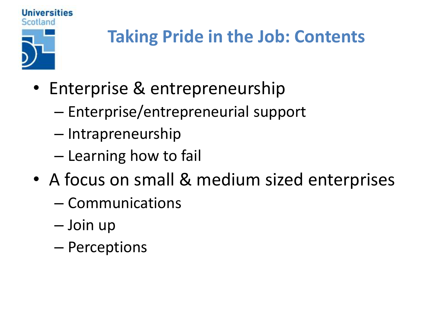

- Enterprise & entrepreneurship
	- Enterprise/entrepreneurial support
	- Intrapreneurship
	- Learning how to fail
- A focus on small & medium sized enterprises
	- Communications
	- Join up
	- Perceptions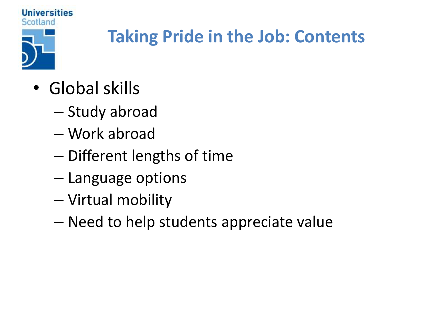

- Global skills
	- Study abroad
	- Work abroad
	- Different lengths of time
	- Language options
	- Virtual mobility
	- Need to help students appreciate value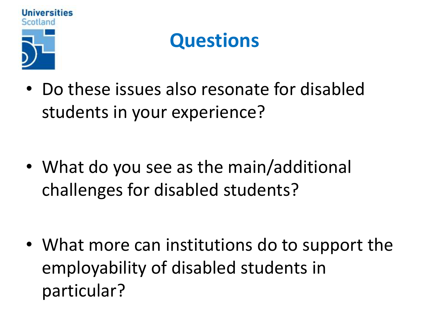

#### **Questions**

• Do these issues also resonate for disabled students in your experience?

• What do you see as the main/additional challenges for disabled students?

• What more can institutions do to support the employability of disabled students in particular?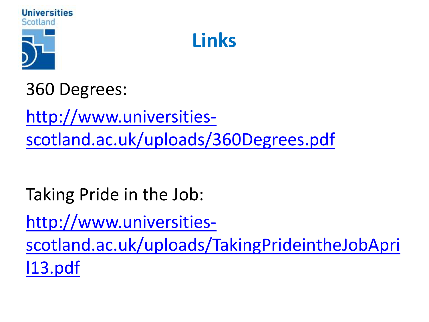



360 Degrees:

http://www.universities[scotland.ac.uk/uploads/360Degrees.pdf](http://www.universities-scotland.ac.uk/uploads/360Degrees.pdf)

Taking Pride in the Job:

http://www.universities[scotland.ac.uk/uploads/TakingPrideintheJobApri](http://www.universities-scotland.ac.uk/uploads/TakingPrideintheJobApril13.pdf) l13.pdf